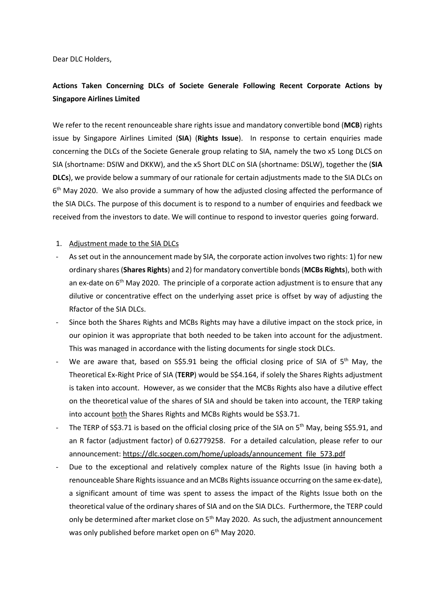Dear DLC Holders,

# **Actions Taken Concerning DLCs of Societe Generale Following Recent Corporate Actions by Singapore Airlines Limited**

We refer to the recent renounceable share rights issue and mandatory convertible bond (**MCB**) rights issue by Singapore Airlines Limited (**SIA**) (**Rights Issue**). In response to certain enquiries made concerning the DLCs of the Societe Generale group relating to SIA, namely the two x5 Long DLCS on SIA (shortname: DSIW and DKKW), and the x5 Short DLC on SIA (shortname: DSLW), together the (**SIA DLCs**), we provide below a summary of our rationale for certain adjustments made to the SIA DLCs on 6<sup>th</sup> May 2020. We also provide a summary of how the adjusted closing affected the performance of the SIA DLCs. The purpose of this document is to respond to a number of enquiries and feedback we received from the investors to date. We will continue to respond to investor queries going forward.

#### 1. Adjustment made to the SIA DLCs

- As set out in the announcement made by SIA, the corporate action involves two rights: 1) for new ordinary shares (**Shares Rights**) and 2) for mandatory convertible bonds (**MCBs Rights**), both with an ex-date on  $6<sup>th</sup>$  May 2020. The principle of a corporate action adjustment is to ensure that any dilutive or concentrative effect on the underlying asset price is offset by way of adjusting the Rfactor of the SIA DLCs.
- Since both the Shares Rights and MCBs Rights may have a dilutive impact on the stock price, in our opinion it was appropriate that both needed to be taken into account for the adjustment. This was managed in accordance with the listing documents for single stock DLCs.
- We are aware that, based on S\$5.91 being the official closing price of SIA of  $5<sup>th</sup>$  May, the Theoretical Ex-Right Price of SIA (**TERP**) would be S\$4.164, if solely the Shares Rights adjustment is taken into account. However, as we consider that the MCBs Rights also have a dilutive effect on the theoretical value of the shares of SIA and should be taken into account, the TERP taking into account both the Shares Rights and MCBs Rights would be S\$3.71.
- The TERP of S\$3.71 is based on the official closing price of the SIA on 5<sup>th</sup> May, being S\$5.91, and an R factor (adjustment factor) of 0.62779258. For a detailed calculation, please refer to our announcement: [https://dlc.socgen.com/home/uploads/announcement\\_file\\_573.pdf](https://dlc.socgen.com/home/uploads/announcement_file_573.pdf)
- Due to the exceptional and relatively complex nature of the Rights Issue (in having both a renounceable Share Rights issuance and an MCBs Rightsissuance occurring on the same ex-date), a significant amount of time was spent to assess the impact of the Rights Issue both on the theoretical value of the ordinary shares of SIA and on the SIA DLCs. Furthermore, the TERP could only be determined after market close on 5<sup>th</sup> May 2020. As such, the adjustment announcement was only published before market open on 6<sup>th</sup> May 2020.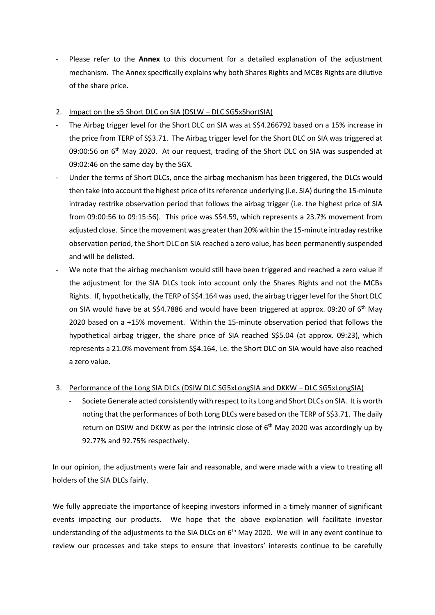- Please refer to the **Annex** to this document for a detailed explanation of the adjustment mechanism. The Annex specifically explains why both Shares Rights and MCBs Rights are dilutive of the share price.
- 2. Impact on the x5 Short DLC on SIA (DSLW DLC SG5xShortSIA)
- The Airbag trigger level for the Short DLC on SIA was at S\$4.266792 based on a 15% increase in the price from TERP of S\$3.71. The Airbag trigger level for the Short DLC on SIA was triggered at 09:00:56 on 6<sup>th</sup> May 2020. At our request, trading of the Short DLC on SIA was suspended at 09:02:46 on the same day by the SGX.
- Under the terms of Short DLCs, once the airbag mechanism has been triggered, the DLCs would then take into account the highest price of its reference underlying (i.e. SIA) during the 15-minute intraday restrike observation period that follows the airbag trigger (i.e. the highest price of SIA from 09:00:56 to 09:15:56). This price was S\$4.59, which represents a 23.7% movement from adjusted close. Since the movement was greater than 20% within the 15-minute intraday restrike observation period, the Short DLC on SIA reached a zero value, has been permanently suspended and will be delisted.
- We note that the airbag mechanism would still have been triggered and reached a zero value if the adjustment for the SIA DLCs took into account only the Shares Rights and not the MCBs Rights. If, hypothetically, the TERP of S\$4.164 was used, the airbag trigger level for the Short DLC on SIA would have be at  $\frac{54.7886}{2}$  and would have been triggered at approx. 09:20 of 6<sup>th</sup> May 2020 based on a +15% movement. Within the 15-minute observation period that follows the hypothetical airbag trigger, the share price of SIA reached S\$5.04 (at approx. 09:23), which represents a 21.0% movement from S\$4.164, i.e. the Short DLC on SIA would have also reached a zero value.

### 3. Performance of the Long SIA DLCs (DSIW DLC SG5xLongSIA and DKKW – DLC SG5xLongSIA)

- Societe Generale acted consistently with respect to its Long and Short DLCs on SIA. It is worth noting that the performances of both Long DLCs were based on the TERP of S\$3.71. The daily return on DSIW and DKKW as per the intrinsic close of  $6<sup>th</sup>$  May 2020 was accordingly up by 92.77% and 92.75% respectively.

In our opinion, the adjustments were fair and reasonable, and were made with a view to treating all holders of the SIA DLCs fairly.

We fully appreciate the importance of keeping investors informed in a timely manner of significant events impacting our products. We hope that the above explanation will facilitate investor understanding of the adjustments to the SIA DLCs on  $6<sup>th</sup>$  May 2020. We will in any event continue to review our processes and take steps to ensure that investors' interests continue to be carefully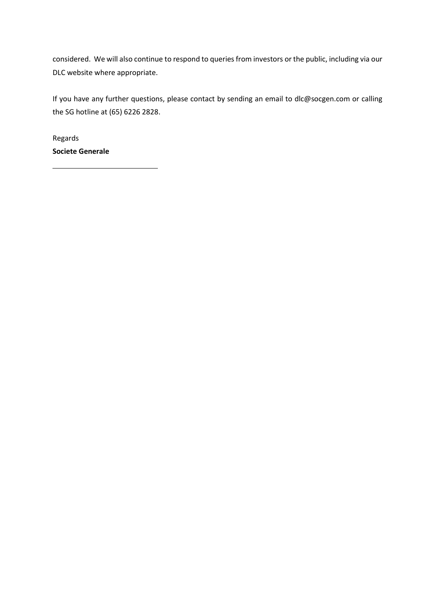considered. We will also continue to respond to queries from investors or the public, including via our DLC website where appropriate.

If you have any further questions, please contact by sending an email to dlc@socgen.com or calling the SG hotline at (65) 6226 2828.

Regards **Societe Generale**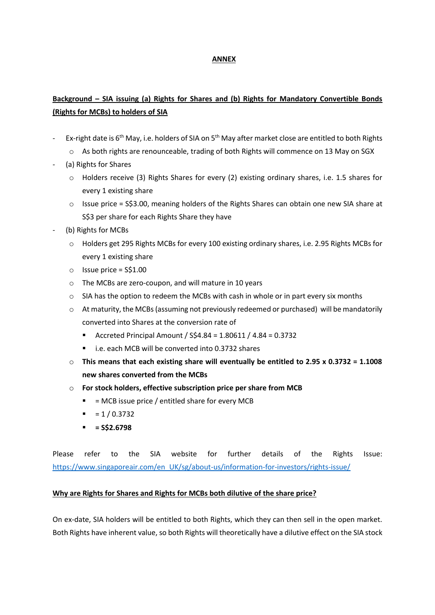#### **ANNEX**

## **Background – SIA issuing (a) Rights for Shares and (b) Rights for Mandatory Convertible Bonds (Rights for MCBs) to holders of SIA**

- Ex-right date is  $6<sup>th</sup>$  May, i.e. holders of SIA on  $5<sup>th</sup>$  May after market close are entitled to both Rights
	- o As both rights are renounceable, trading of both Rights will commence on 13 May on SGX
- (a) Rights for Shares
	- o Holders receive (3) Rights Shares for every (2) existing ordinary shares, i.e. 1.5 shares for every 1 existing share
	- $\circ$  Issue price = S\$3.00, meaning holders of the Rights Shares can obtain one new SIA share at S\$3 per share for each Rights Share they have
- (b) Rights for MCBs
	- o Holders get 295 Rights MCBs for every 100 existing ordinary shares, i.e. 2.95 Rights MCBs for every 1 existing share
	- $\circ$  Issue price = S\$1.00
	- o The MCBs are zero-coupon, and will mature in 10 years
	- o SIA has the option to redeem the MCBs with cash in whole or in part every six months
	- $\circ$  At maturity, the MCBs (assuming not previously redeemed or purchased) will be mandatorily converted into Shares at the conversion rate of
		- Accreted Principal Amount / S\$4.84 = 1.80611 / 4.84 = 0.3732
		- i.e. each MCB will be converted into 0.3732 shares
	- o **This means that each existing share will eventually be entitled to 2.95 x 0.3732 = 1.1008 new shares converted from the MCBs**
	- o **For stock holders, effective subscription price per share from MCB**
		- $\blacksquare$  = MCB issue price / entitled share for every MCB
		- $= 1 / 0.3732$
		- **= S\$2.6798**

Please refer to the SIA website for further details of the Rights Issue: [https://www.singaporeair.com/en\\_UK/sg/about-us/information-for-investors/rights-issue/](https://www.singaporeair.com/en_UK/sg/about-us/information-for-investors/rights-issue/)

#### **Why are Rights for Shares and Rights for MCBs both dilutive of the share price?**

On ex-date, SIA holders will be entitled to both Rights, which they can then sell in the open market. Both Rights have inherent value, so both Rights will theoretically have a dilutive effect on the SIA stock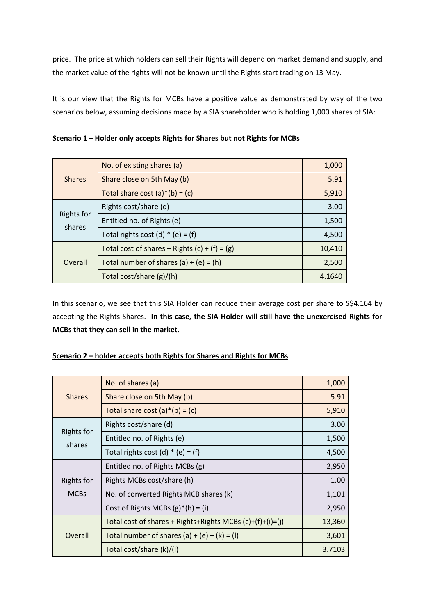price. The price at which holders can sell their Rights will depend on market demand and supply, and the market value of the rights will not be known until the Rights start trading on 13 May.

It is our view that the Rights for MCBs have a positive value as demonstrated by way of the two scenarios below, assuming decisions made by a SIA shareholder who is holding 1,000 shares of SIA:

| <b>Shares</b>               | No. of existing shares (a)                      | 1,000  |
|-----------------------------|-------------------------------------------------|--------|
|                             | Share close on 5th May (b)                      | 5.91   |
|                             | Total share cost $(a)*(b) = (c)$                | 5,910  |
| <b>Rights for</b><br>shares | Rights cost/share (d)                           | 3.00   |
|                             | Entitled no. of Rights (e)                      | 1,500  |
|                             | Total rights cost (d) $*$ (e) = (f)             | 4,500  |
| Overall                     | Total cost of shares + Rights $(c) + (f) = (g)$ | 10,410 |
|                             | Total number of shares $(a) + (e) = (h)$        | 2,500  |
|                             | Total cost/share (g)/(h)                        | 4.1640 |

**Scenario 1 – Holder only accepts Rights for Shares but not Rights for MCBs**

In this scenario, we see that this SIA Holder can reduce their average cost per share to S\$4.164 by accepting the Rights Shares. **In this case, the SIA Holder will still have the unexercised Rights for MCBs that they can sell in the market**.

|--|

| <b>Shares</b>                    | No. of shares (a)                                         | 1,000  |
|----------------------------------|-----------------------------------------------------------|--------|
|                                  | Share close on 5th May (b)                                | 5.91   |
|                                  | Total share cost $(a) * (b) = (c)$                        | 5,910  |
| <b>Rights for</b><br>shares      | Rights cost/share (d)                                     | 3.00   |
|                                  | Entitled no. of Rights (e)                                | 1,500  |
|                                  | Total rights cost (d) $*$ (e) = (f)                       | 4,500  |
| <b>Rights for</b><br><b>MCBs</b> | Entitled no. of Rights MCBs (g)                           | 2,950  |
|                                  | Rights MCBs cost/share (h)                                | 1.00   |
|                                  | No. of converted Rights MCB shares (k)                    | 1,101  |
|                                  | Cost of Rights MCBs $(g)^*(h) = (i)$                      | 2,950  |
| Overall                          | Total cost of shares + Rights+Rights MCBs (c)+(f)+(i)=(j) | 13,360 |
|                                  | Total number of shares $(a) + (e) + (k) = (l)$            | 3,601  |
|                                  | Total cost/share (k)/(l)                                  | 3.7103 |